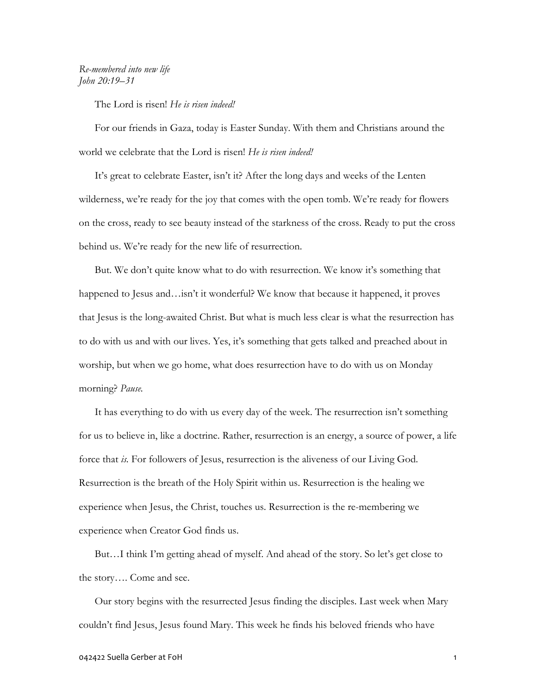## Re-membered into new life John 20:19–31

The Lord is risen! He is risen indeed!

 For our friends in Gaza, today is Easter Sunday. With them and Christians around the world we celebrate that the Lord is risen! He is risen indeed!

 It's great to celebrate Easter, isn't it? After the long days and weeks of the Lenten wilderness, we're ready for the joy that comes with the open tomb. We're ready for flowers on the cross, ready to see beauty instead of the starkness of the cross. Ready to put the cross behind us. We're ready for the new life of resurrection.

 But. We don't quite know what to do with resurrection. We know it's something that happened to Jesus and…isn't it wonderful? We know that because it happened, it proves that Jesus is the long-awaited Christ. But what is much less clear is what the resurrection has to do with us and with our lives. Yes, it's something that gets talked and preached about in worship, but when we go home, what does resurrection have to do with us on Monday morning? Pause.

 It has everything to do with us every day of the week. The resurrection isn't something for us to believe in, like a doctrine. Rather, resurrection is an energy, a source of power, a life force that is. For followers of Jesus, resurrection is the aliveness of our Living God. Resurrection is the breath of the Holy Spirit within us. Resurrection is the healing we experience when Jesus, the Christ, touches us. Resurrection is the re-membering we experience when Creator God finds us.

 But…I think I'm getting ahead of myself. And ahead of the story. So let's get close to the story…. Come and see.

 Our story begins with the resurrected Jesus finding the disciples. Last week when Mary couldn't find Jesus, Jesus found Mary. This week he finds his beloved friends who have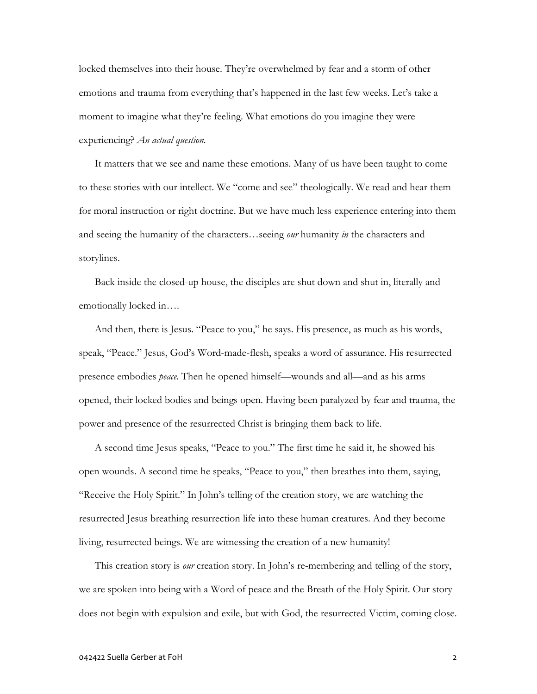locked themselves into their house. They're overwhelmed by fear and a storm of other emotions and trauma from everything that's happened in the last few weeks. Let's take a moment to imagine what they're feeling. What emotions do you imagine they were experiencing? An actual question.

It matters that we see and name these emotions. Many of us have been taught to come to these stories with our intellect. We "come and see" theologically. We read and hear them for moral instruction or right doctrine. But we have much less experience entering into them and seeing the humanity of the characters…seeing *our* humanity in the characters and storylines.

Back inside the closed-up house, the disciples are shut down and shut in, literally and emotionally locked in….

And then, there is Jesus. "Peace to you," he says. His presence, as much as his words, speak, "Peace." Jesus, God's Word-made-flesh, speaks a word of assurance. His resurrected presence embodies peace. Then he opened himself—wounds and all—and as his arms opened, their locked bodies and beings open. Having been paralyzed by fear and trauma, the power and presence of the resurrected Christ is bringing them back to life.

A second time Jesus speaks, "Peace to you." The first time he said it, he showed his open wounds. A second time he speaks, "Peace to you," then breathes into them, saying, "Receive the Holy Spirit." In John's telling of the creation story, we are watching the resurrected Jesus breathing resurrection life into these human creatures. And they become living, resurrected beings. We are witnessing the creation of a new humanity!

This creation story is *our* creation story. In John's re-membering and telling of the story, we are spoken into being with a Word of peace and the Breath of the Holy Spirit. Our story does not begin with expulsion and exile, but with God, the resurrected Victim, coming close.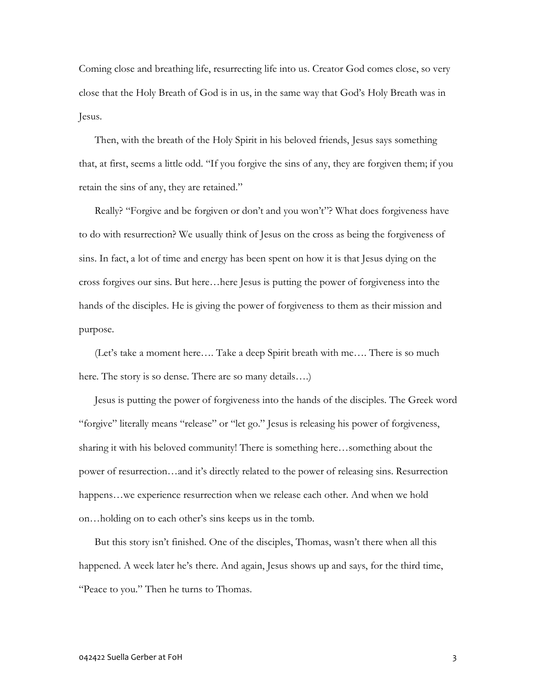Coming close and breathing life, resurrecting life into us. Creator God comes close, so very close that the Holy Breath of God is in us, in the same way that God's Holy Breath was in Jesus.

Then, with the breath of the Holy Spirit in his beloved friends, Jesus says something that, at first, seems a little odd. "If you forgive the sins of any, they are forgiven them; if you retain the sins of any, they are retained."

Really? "Forgive and be forgiven or don't and you won't"? What does forgiveness have to do with resurrection? We usually think of Jesus on the cross as being the forgiveness of sins. In fact, a lot of time and energy has been spent on how it is that Jesus dying on the cross forgives our sins. But here…here Jesus is putting the power of forgiveness into the hands of the disciples. He is giving the power of forgiveness to them as their mission and purpose.

 (Let's take a moment here…. Take a deep Spirit breath with me…. There is so much here. The story is so dense. There are so many details....)

 Jesus is putting the power of forgiveness into the hands of the disciples. The Greek word "forgive" literally means "release" or "let go." Jesus is releasing his power of forgiveness, sharing it with his beloved community! There is something here…something about the power of resurrection…and it's directly related to the power of releasing sins. Resurrection happens…we experience resurrection when we release each other. And when we hold on…holding on to each other's sins keeps us in the tomb.

 But this story isn't finished. One of the disciples, Thomas, wasn't there when all this happened. A week later he's there. And again, Jesus shows up and says, for the third time, "Peace to you." Then he turns to Thomas.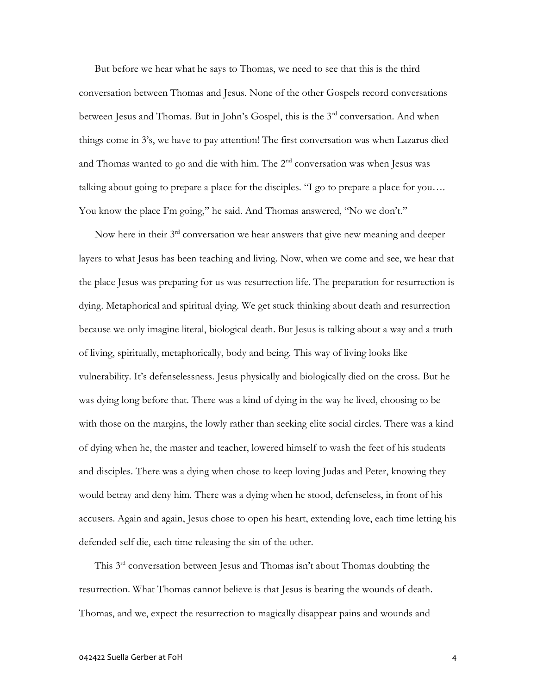But before we hear what he says to Thomas, we need to see that this is the third conversation between Thomas and Jesus. None of the other Gospels record conversations between Jesus and Thomas. But in John's Gospel, this is the 3<sup>rd</sup> conversation. And when things come in 3's, we have to pay attention! The first conversation was when Lazarus died and Thomas wanted to go and die with him. The  $2<sup>nd</sup>$  conversation was when Jesus was talking about going to prepare a place for the disciples. "I go to prepare a place for you…. You know the place I'm going," he said. And Thomas answered, "No we don't."

Now here in their 3<sup>rd</sup> conversation we hear answers that give new meaning and deeper layers to what Jesus has been teaching and living. Now, when we come and see, we hear that the place Jesus was preparing for us was resurrection life. The preparation for resurrection is dying. Metaphorical and spiritual dying. We get stuck thinking about death and resurrection because we only imagine literal, biological death. But Jesus is talking about a way and a truth of living, spiritually, metaphorically, body and being. This way of living looks like vulnerability. It's defenselessness. Jesus physically and biologically died on the cross. But he was dying long before that. There was a kind of dying in the way he lived, choosing to be with those on the margins, the lowly rather than seeking elite social circles. There was a kind of dying when he, the master and teacher, lowered himself to wash the feet of his students and disciples. There was a dying when chose to keep loving Judas and Peter, knowing they would betray and deny him. There was a dying when he stood, defenseless, in front of his accusers. Again and again, Jesus chose to open his heart, extending love, each time letting his defended-self die, each time releasing the sin of the other.

 This 3rd conversation between Jesus and Thomas isn't about Thomas doubting the resurrection. What Thomas cannot believe is that Jesus is bearing the wounds of death. Thomas, and we, expect the resurrection to magically disappear pains and wounds and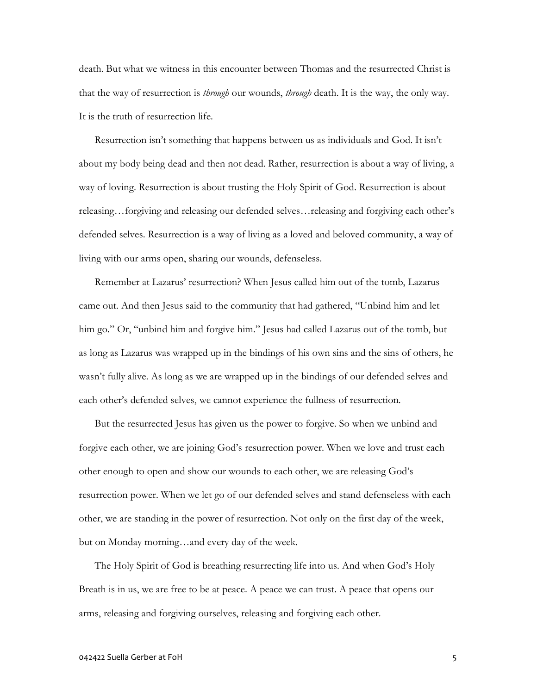death. But what we witness in this encounter between Thomas and the resurrected Christ is that the way of resurrection is *through* our wounds, *through* death. It is the way, the only way. It is the truth of resurrection life.

 Resurrection isn't something that happens between us as individuals and God. It isn't about my body being dead and then not dead. Rather, resurrection is about a way of living, a way of loving. Resurrection is about trusting the Holy Spirit of God. Resurrection is about releasing…forgiving and releasing our defended selves…releasing and forgiving each other's defended selves. Resurrection is a way of living as a loved and beloved community, a way of living with our arms open, sharing our wounds, defenseless.

 Remember at Lazarus' resurrection? When Jesus called him out of the tomb, Lazarus came out. And then Jesus said to the community that had gathered, "Unbind him and let him go." Or, "unbind him and forgive him." Jesus had called Lazarus out of the tomb, but as long as Lazarus was wrapped up in the bindings of his own sins and the sins of others, he wasn't fully alive. As long as we are wrapped up in the bindings of our defended selves and each other's defended selves, we cannot experience the fullness of resurrection.

But the resurrected Jesus has given us the power to forgive. So when we unbind and forgive each other, we are joining God's resurrection power. When we love and trust each other enough to open and show our wounds to each other, we are releasing God's resurrection power. When we let go of our defended selves and stand defenseless with each other, we are standing in the power of resurrection. Not only on the first day of the week, but on Monday morning…and every day of the week.

 The Holy Spirit of God is breathing resurrecting life into us. And when God's Holy Breath is in us, we are free to be at peace. A peace we can trust. A peace that opens our arms, releasing and forgiving ourselves, releasing and forgiving each other.